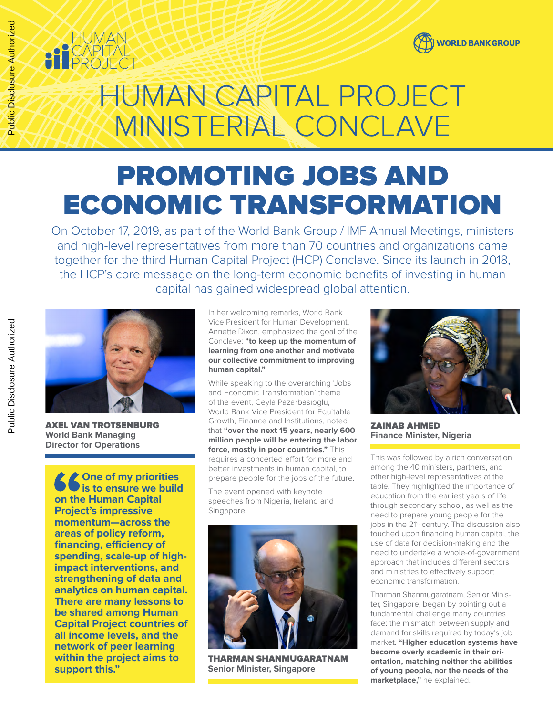



# **HUMAN CAPITAL PROJECT** MINISTERIAL CONCLAVE

# PROMOTING JOBS AND ECONOMIC TRANSFORMATION

On October 17, 2019, as part of the World Bank Group / IMF Annual Meetings, ministers and high-level representatives from more than 70 countries and organizations came together for the third Human Capital Project (HCP) Conclave. Since its launch in 2018, the HCP's core message on the long-term economic benefits of investing in human capital has gained widespread global attention.



AXEL VAN TROTSENBURG **World Bank Managing Director for Operations**

**One of my priorities is to ensure we build on the Human Capital Project's impressive momentum—across the areas of policy reform, financing, efficiency of spending, scale-up of highimpact interventions, and strengthening of data and analytics on human capital. There are many lessons to be shared among Human Capital Project countries of all income levels, and the network of peer learning within the project aims to support this."** 

In her welcoming remarks, World Bank Vice President for Human Development, Annette Dixon, emphasized the goal of the Conclave: **"to keep up the momentum of learning from one another and motivate our collective commitment to improving human capital."**

While speaking to the overarching 'Jobs and Economic Transformation' theme of the event, Ceyla Pazarbasioglu, World Bank Vice President for Equitable Growth, Finance and Institutions, noted that **"over the next 15 years, nearly 600 million people will be entering the labor force, mostly in poor countries."** This requires a concerted effort for more and better investments in human capital, to prepare people for the jobs of the future.

The event opened with keynote speeches from Nigeria, Ireland and Singapore.



THARMAN SHANMUGARATNAM **Senior Minister, Singapore**



ZAINAB AHMED **Finance Minister, Nigeria**

This was followed by a rich conversation among the 40 ministers, partners, and other high-level representatives at the table. They highlighted the importance of education from the earliest years of life through secondary school, as well as the need to prepare young people for the jobs in the 21<sup>st</sup> century. The discussion also touched upon financing human capital, the use of data for decision-making and the need to undertake a whole-of-government approach that includes different sectors and ministries to effectively support economic transformation.

Tharman Shanmugaratnam, Senior Minister, Singapore, began by pointing out a fundamental challenge many countries face: the mismatch between supply and demand for skills required by today's job market. **"Higher education systems have become overly academic in their orientation, matching neither the abilities of young people, nor the needs of the marketplace,"** he explained.

Public Disclosure Authorized

Public Disclosure Authorized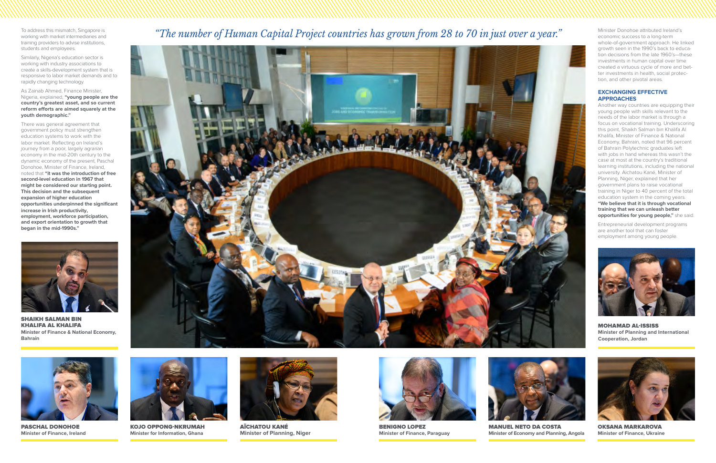To address this mismatch, Singapore is working with market intermediaries and training providers to advise institutions, students and employees.

Similarly, Nigeria's education sector is working with industry associations to create a skills-development system that is responsive to labor market demands and to rapidly changing technology.

As Zainab Ahmed, Finance Minister, Nigeria, explained, **"young people are the country's greatest asset, and so current reform efforts are aimed squarely at the youth demographic."**

There was general agreement that government policy must strengthen education systems to work with the labor market. Reflecting on Ireland's journey from a poor, largely agrarian economy in the mid-20th century to the dynamic economy of the present, Paschal Donohoe, Minister of Finance, Ireland, noted that **"it was the introduction of free second-level education in 1967 that might be considered our starting point. This decision and the subsequent expansion of higher education opportunities underpinned the significant increase in Irish productivity, employment, workforce participation, and export orientation to growth that began in the mid-1990s."**



PASCHAL DONOHOE **Minister of Finance, Ireland**



AÏCHATOU KANÉ **Minister of Planning, Niger**



BENIGNO LOPEZ **Minister of Finance, Paraguay**





economic success to a long-term whole-of-government approach. He linked growth seen in the 1990's back to education decisions from the late 1960's—these investments in human capital over time created a virtuous cycle of more and better investments in health, social protection, and other pivotal areas.

## **EXCHANGING EFFECTIVE APPROACHES**

Another way countries are equipping their young people with skills relevant to the needs of the labor market is through a focus on vocational training. Underscoring this point, Shaikh Salman bin Khalifa Al Khalifa, Minister of Finance & National Economy, Bahrain, noted that 96 percent of Bahrain Polytechnic graduates left with jobs in hand whereas this wasn't the case at most at the country's traditional learning institutions, including the national university. Aïchatou Kané, Minister of Planning, Niger, explained that her government plans to raise vocational training in Niger to 40 percent of the total education system in the coming years. **"We believe that it is through vocational training that we can unleash better opportunities for young people,"** she said.

Entrepreneurial development programs are another tool that can foster employment among young people.



SHAIKH SALMAN BIN KHALIFA AL KHALIFA **Minister of Finance & National Economy, Bahrain**



MOHAMAD AL-ISSISS **Minister of Planning and International Cooperation, Jordan**



OKSANA MARKAROVA **Minister of Finance, Ukraine**



MANUEL NETO DA COSTA **Minister of Economy and Planning, Angola**



KOJO OPPONG-NKRUMAH **Minister for Information, Ghana**